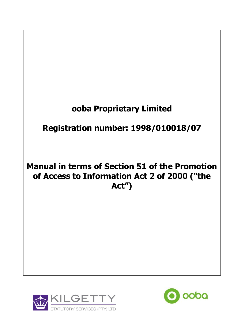# **ooba Proprietary Limited**

# **Registration number: 1998/010018/07**

# **Manual in terms of Section 51 of the Promotion of Access to Information Act 2 of 2000 ("the Act")**



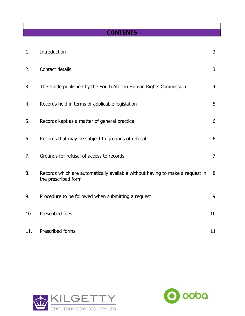## **CONTENTS**

| 1.  | Introduction                                                                                         | 3              |
|-----|------------------------------------------------------------------------------------------------------|----------------|
| 2.  | Contact details                                                                                      | 3              |
| 3.  | The Guide published by the South African Human Rights Commission                                     | $\overline{4}$ |
| 4.  | Records held in terms of applicable legislation                                                      | 5              |
| 5.  | Records kept as a matter of general practice                                                         | 6              |
| 6.  | Records that may be subject to grounds of refusal                                                    | 6              |
| 7.  | Grounds for refusal of access to records                                                             | 7              |
| 8.  | Records which are automatically available without having to make a request in<br>the prescribed form | 8              |
| 9.  | Procedure to be followed when submitting a request                                                   | 9              |
| 10. | Prescribed fees                                                                                      | 10             |
| 11. | Prescribed forms                                                                                     | 11             |



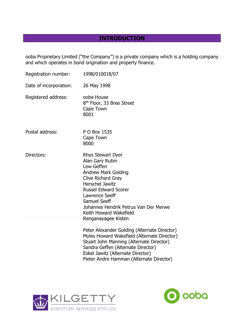### **INTRODUCTION**

ooba Proprietary Limited ("the Company") is a private company which is a holding company and which operates in bond origination and property finance.

Pieter Andre Hamman (Alternate Director)

| Registration number:   | 1998/010018/07                                                                                                                                                                                                                                                                                                   |
|------------------------|------------------------------------------------------------------------------------------------------------------------------------------------------------------------------------------------------------------------------------------------------------------------------------------------------------------|
| Date of incorporation: | 26 May 1998                                                                                                                                                                                                                                                                                                      |
| Registered address:    | ooba House<br>8 <sup>th</sup> Floor, 33 Bree Street<br>Cape Town<br>8001                                                                                                                                                                                                                                         |
| Postal address:        | P O Box 1535<br>Cape Town<br>8000                                                                                                                                                                                                                                                                                |
| Directors:             | <b>Rhys Stewart Dyer</b><br>Alan Gary Rubin<br>Lew Geffen<br><b>Andrew Mark Golding</b><br><b>Clive Richard Gray</b><br><b>Herschel Jawitz</b><br><b>Russel Edward Scorer</b><br><b>Lawrence Seeff</b><br>Samuel Seeff<br>Johannes Hendrik Petrus Van Der Merwe<br>Keith Howard Wakefield<br>Renganayagee Kisten |
|                        | Peter Alexander Golding (Alternate Director)<br>Myles Howard Wakefield (Alternate Director)<br>Stuart John Manning (Alternate Director)<br>Sandra Geffen (Alternate Director)<br>Eskel Jawitz (Alternate Director)                                                                                               |



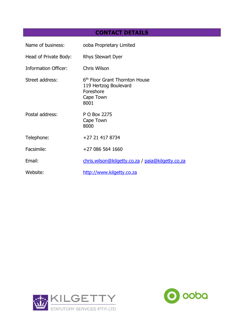# **CONTACT DETAILS**

| Name of business:           | ooba Proprietary Limited                                                                              |
|-----------------------------|-------------------------------------------------------------------------------------------------------|
| Head of Private Body:       | <b>Rhys Stewart Dyer</b>                                                                              |
| <b>Information Officer:</b> | Chris Wilson                                                                                          |
| Street address:             | 6 <sup>th</sup> Floor Grant Thornton House<br>119 Hertzog Boulevard<br>Foreshore<br>Cape Town<br>8001 |
| Postal address:             | P O Box 2275<br>Cape Town<br>8000                                                                     |
| Telephone:                  | +27 21 417 8734                                                                                       |
| Facsimile:                  | +27 086 564 1660                                                                                      |
| Email:                      | chris.wilson@kilgetty.co.za / paia@kilgetty.co.za                                                     |
| Website:                    | http://www.kilgetty.co.za                                                                             |



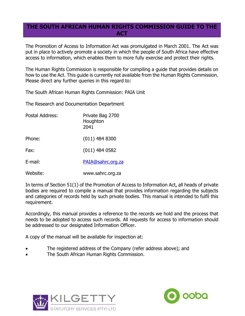#### **THE SOUTH AFRICAN HUMAN RIGHTS COMMISSION GUIDE TO THE ACT**

The Promotion of Access to Information Act was promulgated in March 2001. The Act was put in place to actively promote a society in which the people of South Africa have effective access to information, which enables them to more fully exercise and protect their rights.

The Human Rights Commission is responsible for compiling a guide that provides details on how to use the Act. This guide is currently not available from the Human Rights Commission. Please direct any further queries in this regard to:

The South African Human Rights Commission: PAIA Unit

The Research and Documentation Department

| Postal Address: | Private Bag 2700<br>Houghton<br>2041 |
|-----------------|--------------------------------------|
| Phone:          | $(011)$ 484 8300                     |
| Fax:            | $(011)$ 484 0582                     |
| E-mail:         | PAIA@sahrc.org.za                    |
| Website:        | www.sahrc.org.za                     |

In terms of Section 51(1) of the Promotion of Access to Information Act, all heads of private bodies are required to compile a manual that provides information regarding the subjects and categories of records held by such private bodies. This manual is intended to fulfil this requirement.

Accordingly, this manual provides a reference to the records we hold and the process that needs to be adopted to access such records. All requests for access to information should be addressed to our designated Information Officer.

A copy of the manual will be available for inspection at:

- The registered address of the Company (refer address above); and
- The South African Human Rights Commission.



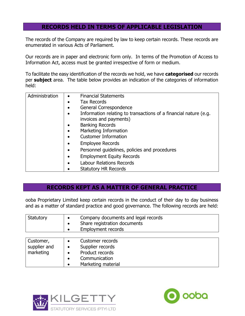#### **RECORDS HELD IN TERMS OF APPLICABLE LEGISLATION**

The records of the Company are required by law to keep certain records. These records are enumerated in various Acts of Parliament.

Our records are in paper and electronic form only. In terms of the Promotion of Access to Information Act, access must be granted irrespective of form or medium.

To facilitate the easy identification of the records we hold, we have **categorised** our records per **subject** area. The table below provides an indication of the categories of information held:

| Administration | <b>Financial Statements</b><br>$\bullet$<br><b>Tax Records</b><br>$\bullet$<br>General Correspondence<br>$\bullet$<br>Information relating to transactions of a financial nature (e.g.<br>$\bullet$<br>invoices and payments)<br><b>Banking Records</b><br>$\bullet$<br><b>Marketing Information</b><br>$\bullet$<br><b>Customer Information</b><br>$\bullet$<br><b>Employee Records</b><br>$\bullet$<br>Personnel guidelines, policies and procedures<br>$\bullet$<br><b>Employment Equity Records</b><br>$\bullet$ |
|----------------|----------------------------------------------------------------------------------------------------------------------------------------------------------------------------------------------------------------------------------------------------------------------------------------------------------------------------------------------------------------------------------------------------------------------------------------------------------------------------------------------------------------------|
|                | <b>Labour Relations Records</b><br>$\bullet$                                                                                                                                                                                                                                                                                                                                                                                                                                                                         |
|                | <b>Statutory HR Records</b><br>$\bullet$                                                                                                                                                                                                                                                                                                                                                                                                                                                                             |

#### **RECORDS KEPT AS A MATTER OF GENERAL PRACTICE**

ooba Proprietary Limited keep certain records in the conduct of their day to day business and as a matter of standard practice and good governance. The following records are held:

| Statutory    | Company documents and legal records<br>$\bullet$<br>Share registration documents<br>$\bullet$<br><b>Employment records</b><br>$\bullet$ |
|--------------|-----------------------------------------------------------------------------------------------------------------------------------------|
|              |                                                                                                                                         |
| Customer,    | Customer records<br>$\bullet$                                                                                                           |
| supplier and | Supplier records<br>$\bullet$                                                                                                           |
| marketing    | Product records<br>$\bullet$                                                                                                            |
|              | $\sum_{i=1}^{n}$                                                                                                                        |

- Communication
- Marketing material



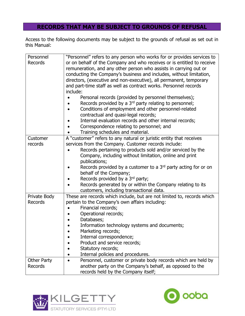### **RECORDS THAT MAY BE SUBJECT TO GROUNDS OF REFUSAL**

Access to the following documents may be subject to the grounds of refusal as set out in this Manual:

| Personnel    | "Personnel" refers to any person who works for or provides services to                               |  |  |  |  |  |  |
|--------------|------------------------------------------------------------------------------------------------------|--|--|--|--|--|--|
| Records      | or on behalf of the Company and who receives or is entitled to receive                               |  |  |  |  |  |  |
|              | remuneration, and any other person who assists in carrying out or                                    |  |  |  |  |  |  |
|              | conducting the Company's business and includes, without limitation,                                  |  |  |  |  |  |  |
|              | directors, (executive and non-executive), all permanent, temporary                                   |  |  |  |  |  |  |
|              | and part-time staff as well as contract works. Personnel records                                     |  |  |  |  |  |  |
|              | include:                                                                                             |  |  |  |  |  |  |
|              | Personal records (provided by personnel themselves);                                                 |  |  |  |  |  |  |
|              | Records provided by a 3 <sup>rd</sup> party relating to personnel;                                   |  |  |  |  |  |  |
|              | Conditions of employment and other personnel-related                                                 |  |  |  |  |  |  |
|              | contractual and quasi-legal records;                                                                 |  |  |  |  |  |  |
|              |                                                                                                      |  |  |  |  |  |  |
|              | Internal evaluation records and other internal records;<br>Correspondence relating to personnel; and |  |  |  |  |  |  |
|              | Training schedules and material.                                                                     |  |  |  |  |  |  |
| Customer     | A "customer" refers to any natural or juristic entity that receives                                  |  |  |  |  |  |  |
| records      |                                                                                                      |  |  |  |  |  |  |
|              | services from the Company. Customer records include:                                                 |  |  |  |  |  |  |
|              | Records pertaining to products sold and/or serviced by the                                           |  |  |  |  |  |  |
|              | Company, including without limitation, online and print                                              |  |  |  |  |  |  |
|              | publications;                                                                                        |  |  |  |  |  |  |
|              | Records provided by a customer to a $3rd$ party acting for or on                                     |  |  |  |  |  |  |
|              | behalf of the Company;                                                                               |  |  |  |  |  |  |
|              | Records provided by a 3rd party;                                                                     |  |  |  |  |  |  |
|              | Records generated by or within the Company relating to its                                           |  |  |  |  |  |  |
|              | customers, including transactional data.                                                             |  |  |  |  |  |  |
| Private Body | These are records which include, but are not limited to, records which                               |  |  |  |  |  |  |
| Records      | pertain to the Company's own affairs including:                                                      |  |  |  |  |  |  |
|              | Financial records;                                                                                   |  |  |  |  |  |  |
|              | Operational records;                                                                                 |  |  |  |  |  |  |
|              | Databases;                                                                                           |  |  |  |  |  |  |
|              | Information technology systems and documents;                                                        |  |  |  |  |  |  |
|              | Marketing records;                                                                                   |  |  |  |  |  |  |
|              | Internal correspondence;                                                                             |  |  |  |  |  |  |
|              | Product and service records;                                                                         |  |  |  |  |  |  |
|              | Statutory records;                                                                                   |  |  |  |  |  |  |
|              | Internal policies and procedures.                                                                    |  |  |  |  |  |  |
| Other Party  | Personnel, customer or private body records which are held by<br>$\bullet$                           |  |  |  |  |  |  |
| Records      | another party on the Company's behalf, as opposed to the                                             |  |  |  |  |  |  |
|              | records held by the Company itself;                                                                  |  |  |  |  |  |  |



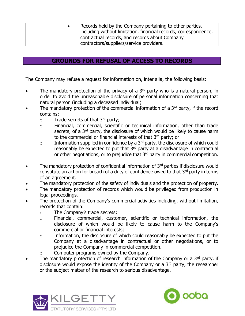| Records held by the Company pertaining to other parties,<br>including without limitation, financial records, correspondence,<br>contractual records, and records about Company<br>contractors/suppliers/service providers. |
|----------------------------------------------------------------------------------------------------------------------------------------------------------------------------------------------------------------------------|
|----------------------------------------------------------------------------------------------------------------------------------------------------------------------------------------------------------------------------|

#### **GROUNDS FOR REFUSAL OF ACCESS TO RECORDS**

The Company may refuse a request for information on, inter alia, the following basis:

- The mandatory protection of the privacy of a  $3<sup>rd</sup>$  party who is a natural person, in order to avoid the unreasonable disclosure of personal information concerning that natural person (including a deceased individual).
- The mandatory protection of the commercial information of a  $3<sup>rd</sup>$  party, if the record contains:
	- $\circ$  Trade secrets of that 3<sup>rd</sup> party;
	- o Financial, commercial, scientific or technical information, other than trade secrets, of a 3<sup>rd</sup> party, the disclosure of which would be likely to cause harm to the commercial or financial interests of that 3<sup>rd</sup> party; or
	- $\circ$  Information supplied in confidence by a 3<sup>rd</sup> party, the disclosure of which could reasonably be expected to put that  $3<sup>rd</sup>$  party at a disadvantage in contractual or other negotiations, or to prejudice that 3<sup>rd</sup> party in commercial competition.
- The mandatory protection of confidential information of  $3<sup>rd</sup>$  parties if disclosure would constitute an action for breach of a duty of confidence owed to that  $3<sup>rd</sup>$  party in terms of an agreement.
- The mandatory protection of the safety of individuals and the protection of property.
- The mandatory protection of records which would be privileged from production in legal proceedings.
- The protection of the Company's commercial activities including, without limitation, records that contain:
	- o The Company's trade secrets;
	- o Financial, commercial, customer, scientific or technical information, the disclosure of which would be likely to cause harm to the Company's commercial or financial interests;
	- o Information, the disclosure of which could reasonably be expected to put the Company at a disadvantage in contractual or other negotiations, or to prejudice the Company in commercial competition.
	- Computer programs owned by the Company.
- The mandatory protection of research information of the Company or a  $3<sup>rd</sup>$  party, if disclosure would expose the identity of the Company or a  $3<sup>rd</sup>$  party, the researcher or the subject matter of the research to serious disadvantage.



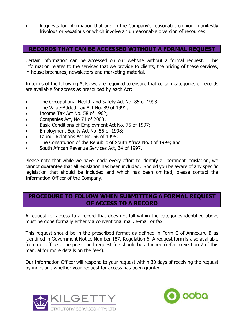• Requests for information that are, in the Company's reasonable opinion, manifestly frivolous or vexatious or which involve an unreasonable diversion of resources.

#### **RECORDS THAT CAN BE ACCESSED WITHOUT A FORMAL REQUEST**

Certain information can be accessed on our website without a formal request. This information relates to the services that we provide to clients, the pricing of these services, in-house brochures, newsletters and marketing material.

In terms of the following Acts, we are required to ensure that certain categories of records are available for access as prescribed by each Act:

- The Occupational Health and Safety Act No. 85 of 1993;
- The Value-Added Tax Act No. 89 of 1991;
- Income Tax Act No. 58 of 1962;
- Companies Act, No 71 of 2008;
- Basic Conditions of Employment Act No. 75 of 1997;
- Employment Equity Act No. 55 of 1998;
- Labour Relations Act No. 66 of 1995;
- The Constitution of the Republic of South Africa No.3 of 1994; and
- South African Revenue Services Act, 34 of 1997.

Please note that while we have made every effort to identify all pertinent legislation, we cannot guarantee that all legislation has been included. Should you be aware of any specific legislation that should be included and which has been omitted, please contact the Information Officer of the Company.

#### **PROCEDURE TO FOLLOW WHEN SUBMITTING A FORMAL REQUEST OF ACCESS TO A RECORD**

A request for access to a record that does not fall within the categories identified above must be done formally either via conventional mail, e-mail or fax.

This request should be in the prescribed format as defined in Form C of Annexure B as identified in Government Notice Number 187, Regulation 6. A request form is also available from our offices. The prescribed request fee should be attached (refer to Section 7 of this manual for more details on the fees).

Our Information Officer will respond to your request within 30 days of receiving the request by indicating whether your request for access has been granted.



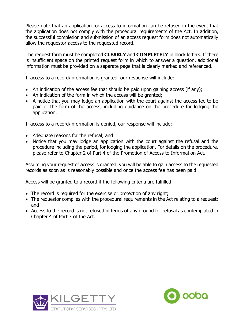Please note that an application for access to information can be refused in the event that the application does not comply with the procedural requirements of the Act. In addition, the successful completion and submission of an access request form does not automatically allow the requestor access to the requested record.

The request form must be completed **CLEARLY** and **COMPLETELY** in block letters. If there is insufficient space on the printed request form in which to answer a question, additional information must be provided on a separate page that is clearly marked and referenced.

If access to a record/information is granted, our response will include:

- An indication of the access fee that should be paid upon gaining access (if any);
- An indication of the form in which the access will be granted;
- A notice that you may lodge an application with the court against the access fee to be paid or the form of the access, including guidance on the procedure for lodging the application.

If access to a record/information is denied, our response will include:

- Adequate reasons for the refusal; and
- Notice that you may lodge an application with the court against the refusal and the procedure including the period, for lodging the application. For details on the procedure, please refer to Chapter 2 of Part 4 of the Promotion of Access to Information Act.

Assuming your request of access is granted, you will be able to gain access to the requested records as soon as is reasonably possible and once the access fee has been paid.

Access will be granted to a record if the following criteria are fulfilled:

- The record is required for the exercise or protection of any right;
- The requestor complies with the procedural requirements in the Act relating to a request; and
- Access to the record is not refused in terms of any ground for refusal as contemplated in Chapter 4 of Part 3 of the Act.



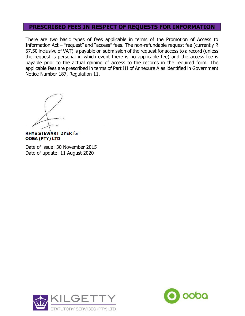#### **PRESCRIBED FEES IN RESPECT OF REQUESTS FOR INFORMATION**

There are two basic types of fees applicable in terms of the Promotion of Access to Information Act – "request" and "access" fees. The non-refundable request fee (currently R 57.50 inclusive of VAT) is payable on submission of the request for access to a record (unless the request is personal in which event there is no applicable fee) and the access fee is payable prior to the actual gaining of access to the records in the required form. The applicable fees are prescribed in terms of Part III of Annexure A as identified in Government Notice Number 187, Regulation 11.

**RHYS STEWART DYER for** OOBA (PTY) LTD

Date of issue: 30 November 2015 Date of update: 11 August 2020



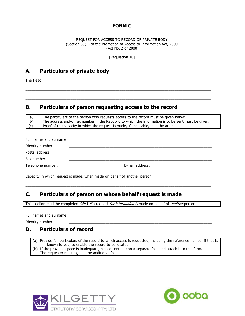#### **FORM C**

REQUEST FOR ACCESS TO RECORD OF PRIVATE BODY (Section 53(1) of the Promotion of Access to Information Act, 2000 (Act No. 2 of 2000)

[Regulation 10]

#### **A. Particulars of private body**

The Head:

#### **B. Particulars of person requesting access to the record**

| (a) | The particulars of the person who requests access to the record must be given below.                |
|-----|-----------------------------------------------------------------------------------------------------|
| (b) | The address and/or fax number in the Republic to which the information is to be sent must be given. |
| (c) | Proof of the capacity in which the request is made, if applicable, must be attached.                |

\_\_\_\_\_\_\_\_\_\_\_\_\_\_\_\_\_\_\_\_\_\_\_\_\_\_\_\_\_\_\_\_\_\_\_\_\_\_\_\_\_\_\_\_\_\_\_\_\_\_\_\_\_\_\_\_\_\_\_\_\_\_\_\_\_\_\_\_\_\_\_\_\_\_\_\_\_\_\_\_\_\_\_\_\_\_\_\_\_\_\_

\_\_\_\_\_\_\_\_\_\_\_\_\_\_\_\_\_\_\_\_\_\_\_\_\_\_\_\_\_\_\_\_\_\_\_\_\_\_\_\_\_\_\_\_\_\_\_\_\_\_\_\_\_\_\_\_\_\_\_\_\_\_\_\_\_\_\_\_\_\_\_\_\_\_\_\_\_\_\_\_\_\_\_\_\_\_\_\_\_\_\_

| Identity number:  |                                                                                                                                                                                                                               |
|-------------------|-------------------------------------------------------------------------------------------------------------------------------------------------------------------------------------------------------------------------------|
| Postal address:   |                                                                                                                                                                                                                               |
| Fax number:       |                                                                                                                                                                                                                               |
| Telephone number: | E-mail address: North and the series of the series of the series of the series of the series of the series of the series of the series of the series of the series of the series of the series of the series of the series of |

\_\_\_\_\_\_\_\_\_\_\_\_\_\_\_\_\_\_\_\_\_\_\_\_\_\_\_\_\_\_\_\_\_\_\_\_\_\_\_\_\_\_\_\_\_\_\_\_\_\_\_\_\_\_\_\_\_\_\_\_\_\_\_\_\_\_\_\_\_\_\_\_\_\_\_\_\_\_\_\_\_\_\_\_\_\_\_\_\_\_\_

Capacity in which request is made, when made on behalf of another person: \_\_\_\_\_\_

#### **C. Particulars of person on whose behalf request is made**

This section must be completed ONLY if a request for information is made on behalf of another person.

Full names and surname: \_\_\_\_\_\_\_\_\_\_\_\_\_\_\_\_\_\_\_\_\_\_\_\_\_\_\_\_\_\_\_\_\_\_\_\_\_\_\_\_\_\_\_\_\_\_\_\_\_\_\_\_\_\_\_\_\_\_\_\_\_\_\_\_\_\_\_\_\_\_

Identity number:

#### **D. Particulars of record**

(a) Provide full particulars of the record to which access is requested, including the reference number if that is known to you, to enable the record to be located.

(b) If the provided space is inadequate, please continue on a separate folio and attach it to this form. The requester must sign all the additional folios.



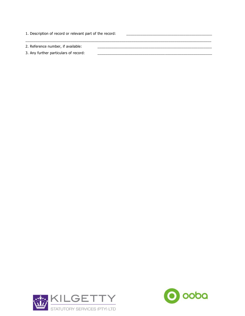1. Description of record or relevant part of the record: 2. Reference number, if available: 3. Any further particulars of record:



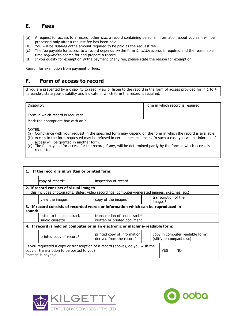### **E. Fees**

- (a) A request for access to a record, other than a record containing personal information about yourself, will be processed only after a request fee has been paid.
- (b) You will be *notified of* the amount required to be paid as the request fee.
- (c) The fee payable for access to a record depends on the form in which access is required and the reasonable time required to search for and prepare a record.
- (d) If you qualify for exemption  $of$  the payment  $of$  any fee, please state the reason for exemption.

Reason for exemption from payment of fees:

#### **F. Form of access to record**

If you are prevented by a disability to read, view or listen to the record in the form of access provided for in 1 to 4 hereunder, state your disability and indicate in which form the record is required.

| Disability:                        | Form in which record is required |
|------------------------------------|----------------------------------|
| Form in which record is required:  |                                  |
| Mark the annropriate how with an Y |                                  |

Mark the appropriate box with an X.

NOTES:

- (a) Compliance with your request in the specified form may depend on the form in which the record is available.
- (b) Access in the form requested may be refused in certain circumstances. In such a case you will be informed if access will be granted in another form.
- (c) The fee payable for access for the record, if any, will be determined partly by the form in which access is requested.

| 1. If the record is in written or printed form:                                                                                                                         |                                            |  |                                                                                   |  |                                                             |  |
|-------------------------------------------------------------------------------------------------------------------------------------------------------------------------|--------------------------------------------|--|-----------------------------------------------------------------------------------|--|-------------------------------------------------------------|--|
|                                                                                                                                                                         | copy of record*                            |  | inspection of record                                                              |  |                                                             |  |
| 2. If record consists of visual images<br>this includes photographs, slides, video recordings, computer-generated images, sketches, etc)                                |                                            |  |                                                                                   |  |                                                             |  |
|                                                                                                                                                                         | view the images                            |  | transcription of the<br>copy of the images"<br>images*                            |  |                                                             |  |
| sound:                                                                                                                                                                  |                                            |  | 3. If record consists of recorded words or information which can be reproduced in |  |                                                             |  |
|                                                                                                                                                                         | listen to the soundtrack<br>audio cassette |  | transcription of soundtrack*<br>written or printed document                       |  |                                                             |  |
| 4. If record is held on computer or in an electronic or machine-readable form:                                                                                          |                                            |  |                                                                                   |  |                                                             |  |
|                                                                                                                                                                         | printed copy of record*                    |  | printed copy of information<br>derived from the record"                           |  | copy in computer readable form*<br>(stiffy or compact disc) |  |
| If you requested a copy or transcription of a record (above), do you wish the<br>copy or transcription to be posted to you?<br><b>YES</b><br>NO.<br>Postage is payable. |                                            |  |                                                                                   |  |                                                             |  |